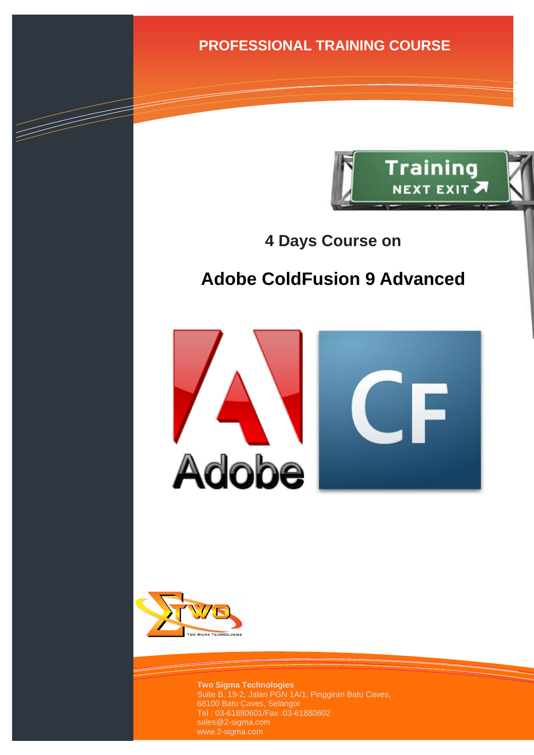**PROFESSIONAL TRAINING COURSE**



**4 Days Course on**

# **Adobe ColdFusion 9 Advanced**





a de de la década de la década de la década de la década de la década de la década de la década de la década d<br>Contradición de la década de la década de la década de la década de la década de la década de la década de la

**Two Sigma Technologies** Suite B, 19-2, Jalan PGN 1A/1, Pinggiran Batu Caves, 68100 Batu Caves, Selangor Tel : 03-61880601/Fax :03-61880602 sales@2-sigma.com www.2-sigma.com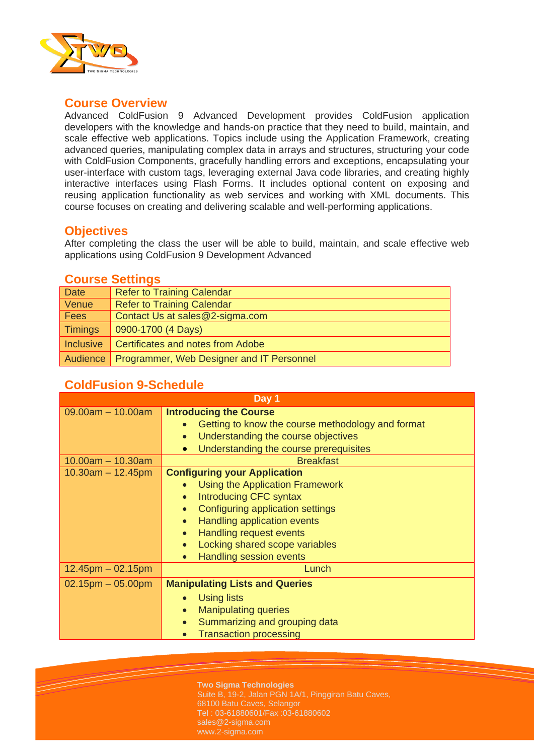

### **Course Overview**

Advanced ColdFusion 9 Advanced Development provides ColdFusion application developers with the knowledge and hands-on practice that they need to build, maintain, and scale effective web applications. Topics include using the Application Framework, creating advanced queries, manipulating complex data in arrays and structures, structuring your code with ColdFusion Components, gracefully handling errors and exceptions, encapsulating your user-interface with custom tags, leveraging external Java code libraries, and creating highly interactive interfaces using Flash Forms. It includes optional content on exposing and reusing application functionality as web services and working with XML documents. This course focuses on creating and delivering scalable and well-performing applications.

#### **Objectives**

After completing the class the user will be able to build, maintain, and scale effective web applications using ColdFusion 9 Development Advanced

#### **Course Settings**

| <b>Date</b>      | <b>Refer to Training Calendar</b>                    |
|------------------|------------------------------------------------------|
| Venue            | <b>Refer to Training Calendar</b>                    |
| Fees             | Contact Us at sales@2-sigma.com                      |
| <b>Timings</b>   | 0900-1700 (4 Days)                                   |
| <b>Inclusive</b> | <b>Certificates and notes from Adobe</b>             |
|                  | Audience   Programmer, Web Designer and IT Personnel |

## **ColdFusion 9-Schedule**

| Day 1                   |                                                                                                 |  |
|-------------------------|-------------------------------------------------------------------------------------------------|--|
| $09.00am - 10.00am$     | <b>Introducing the Course</b><br>Getting to know the course methodology and format<br>$\bullet$ |  |
|                         | Understanding the course objectives<br>$\bullet$                                                |  |
|                         | Understanding the course prerequisites<br>$\bullet$                                             |  |
| $10.00am - 10.30am$     | <b>Breakfast</b>                                                                                |  |
| $10.30$ am $- 12.45$ pm | <b>Configuring your Application</b>                                                             |  |
|                         | Using the Application Framework<br>$\bullet$                                                    |  |
|                         | <b>Introducing CFC syntax</b><br>$\bullet$                                                      |  |
|                         | Configuring application settings<br>$\bullet$                                                   |  |
|                         | Handling application events<br>$\bullet$                                                        |  |
|                         | Handling request events<br>$\bullet$                                                            |  |
|                         | Locking shared scope variables<br>$\bullet$                                                     |  |
|                         | <b>Handling session events</b><br>$\bullet$                                                     |  |
| $12.45$ pm $-02.15$ pm  | Lunch                                                                                           |  |
| $02.15$ pm $-05.00$ pm  | <b>Manipulating Lists and Queries</b>                                                           |  |
|                         | Using lists                                                                                     |  |
|                         | <b>Manipulating queries</b><br>$\bullet$                                                        |  |
|                         | Summarizing and grouping data<br>$\bullet$                                                      |  |
|                         | <b>Transaction processing</b><br>$\bullet$                                                      |  |

**Two Sigma Technologies**

Suite B, 19-2, Jalan PGN 1A/1, Pinggiran Batu Caves, 68100 Batu Caves, Selangor Tel : 03-61880601/Fax :03-61880602 sales@2-sigma.com www.2-sigma.com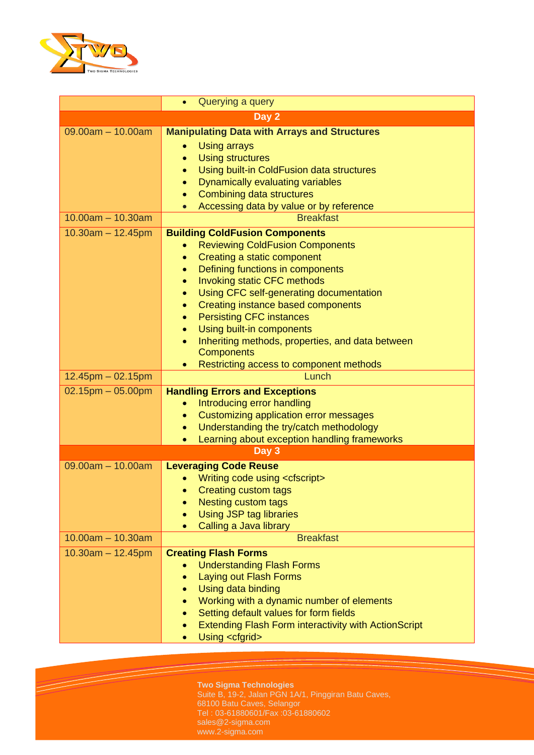

|                        | Querying a query<br>$\bullet$                                              |  |  |  |
|------------------------|----------------------------------------------------------------------------|--|--|--|
| Day 2                  |                                                                            |  |  |  |
| $09.00am - 10.00am$    | <b>Manipulating Data with Arrays and Structures</b><br><b>Using arrays</b> |  |  |  |
|                        | <b>Using structures</b><br>$\bullet$                                       |  |  |  |
|                        | Using built-in ColdFusion data structures<br>۰                             |  |  |  |
|                        | Dynamically evaluating variables<br>$\bullet$                              |  |  |  |
|                        | Combining data structures<br>$\bullet$                                     |  |  |  |
|                        | Accessing data by value or by reference                                    |  |  |  |
| $10.00am - 10.30am$    | <b>Breakfast</b>                                                           |  |  |  |
| $10.30am - 12.45pm$    | <b>Building ColdFusion Components</b>                                      |  |  |  |
|                        | <b>Reviewing ColdFusion Components</b><br>٠<br>Creating a static component |  |  |  |
|                        | $\bullet$<br>Defining functions in components<br>$\bullet$                 |  |  |  |
|                        | Invoking static CFC methods<br>$\bullet$                                   |  |  |  |
|                        | Using CFC self-generating documentation<br>$\bullet$                       |  |  |  |
|                        | Creating instance based components<br>$\bullet$                            |  |  |  |
|                        | <b>Persisting CFC instances</b><br>$\bullet$                               |  |  |  |
|                        | Using built-in components<br>$\bullet$                                     |  |  |  |
|                        | Inheriting methods, properties, and data between<br>$\bullet$              |  |  |  |
|                        | <b>Components</b>                                                          |  |  |  |
| $12.45$ pm $-02.15$ pm | Restricting access to component methods<br>$\bullet$<br>Lunch              |  |  |  |
| $02.15$ pm $-05.00$ pm | <b>Handling Errors and Exceptions</b>                                      |  |  |  |
|                        | Introducing error handling<br>$\bullet$                                    |  |  |  |
|                        | Customizing application error messages<br>$\bullet$                        |  |  |  |
|                        | Understanding the try/catch methodology<br>$\bullet$                       |  |  |  |
|                        | Learning about exception handling frameworks<br>$\bullet$                  |  |  |  |
|                        | Day 3                                                                      |  |  |  |
| $09.00am - 10.00am$    | <b>Leveraging Code Reuse</b>                                               |  |  |  |
|                        | Writing code using <cfscript></cfscript>                                   |  |  |  |
|                        | <b>Creating custom tags</b><br>$\bullet$                                   |  |  |  |
|                        | <b>Nesting custom tags</b><br>۰<br><b>Using JSP tag libraries</b>          |  |  |  |
|                        | Calling a Java library<br>$\bullet$                                        |  |  |  |
| $10.00am - 10.30am$    | <b>Breakfast</b>                                                           |  |  |  |
| $10.30am - 12.45pm$    | <b>Creating Flash Forms</b>                                                |  |  |  |
|                        | <b>Understanding Flash Forms</b>                                           |  |  |  |
|                        | Laying out Flash Forms                                                     |  |  |  |
|                        | Using data binding                                                         |  |  |  |
|                        | Working with a dynamic number of elements                                  |  |  |  |
|                        | Setting default values for form fields<br>$\bullet$                        |  |  |  |
|                        | <b>Extending Flash Form interactivity with ActionScript</b>                |  |  |  |
|                        | Using <cfgrid></cfgrid>                                                    |  |  |  |

**Two Sigma Technologies** Suite B, 19-2, Jalan PGN 1A/1, Pinggiran Batu Caves, 68100 Batu Caves, Selangor Tel : 03-61880601/Fax :03-61880602 sales@2-sigma.com www.2-sigma.com